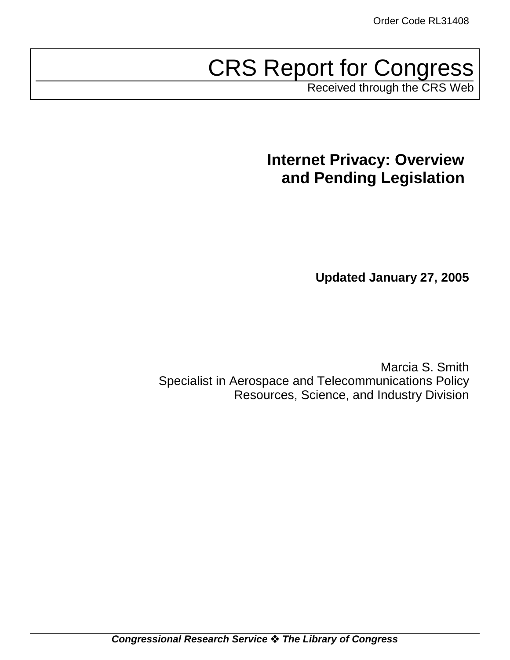# CRS Report for Congress

Received through the CRS Web

# **Internet Privacy: Overview and Pending Legislation**

**Updated January 27, 2005**

Marcia S. Smith Specialist in Aerospace and Telecommunications Policy Resources, Science, and Industry Division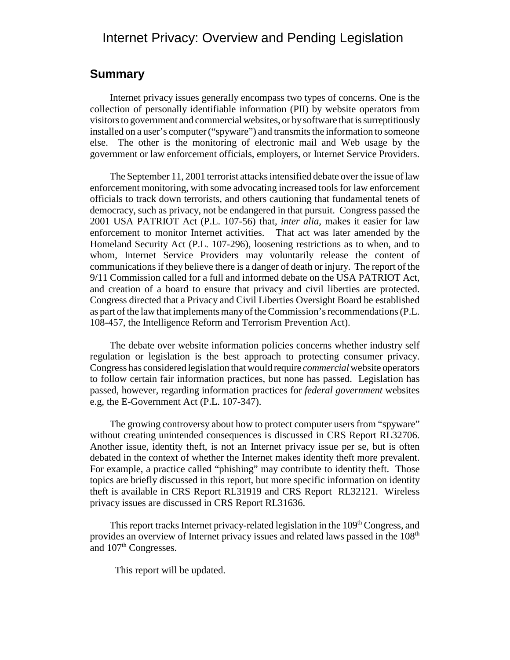# Internet Privacy: Overview and Pending Legislation

#### **Summary**

Internet privacy issues generally encompass two types of concerns. One is the collection of personally identifiable information (PII) by website operators from visitors to government and commercial websites, or by software that is surreptitiously installed on a user's computer ("spyware") and transmits the information to someone else. The other is the monitoring of electronic mail and Web usage by the government or law enforcement officials, employers, or Internet Service Providers.

The September 11, 2001 terrorist attacks intensified debate over the issue of law enforcement monitoring, with some advocating increased tools for law enforcement officials to track down terrorists, and others cautioning that fundamental tenets of democracy, such as privacy, not be endangered in that pursuit. Congress passed the 2001 USA PATRIOT Act (P.L. 107-56) that, *inter alia*, makes it easier for law enforcement to monitor Internet activities. That act was later amended by the Homeland Security Act (P.L. 107-296), loosening restrictions as to when, and to whom, Internet Service Providers may voluntarily release the content of communications if they believe there is a danger of death or injury. The report of the 9/11 Commission called for a full and informed debate on the USA PATRIOT Act, and creation of a board to ensure that privacy and civil liberties are protected. Congress directed that a Privacy and Civil Liberties Oversight Board be established as part of the law that implements many of the Commission's recommendations (P.L. 108-457, the Intelligence Reform and Terrorism Prevention Act).

The debate over website information policies concerns whether industry self regulation or legislation is the best approach to protecting consumer privacy. Congress has considered legislation that would require *commercial* website operators to follow certain fair information practices, but none has passed. Legislation has passed, however, regarding information practices for *federal government* websites e.g, the E-Government Act (P.L. 107-347).

The growing controversy about how to protect computer users from "spyware" without creating unintended consequences is discussed in CRS Report RL32706. Another issue, identity theft, is not an Internet privacy issue per se, but is often debated in the context of whether the Internet makes identity theft more prevalent. For example, a practice called "phishing" may contribute to identity theft. Those topics are briefly discussed in this report, but more specific information on identity theft is available in CRS Report RL31919 and CRS Report RL32121. Wireless privacy issues are discussed in CRS Report RL31636.

This report tracks Internet privacy-related legislation in the 109<sup>th</sup> Congress, and provides an overview of Internet privacy issues and related laws passed in the 108<sup>th</sup> and 107<sup>th</sup> Congresses.

This report will be updated.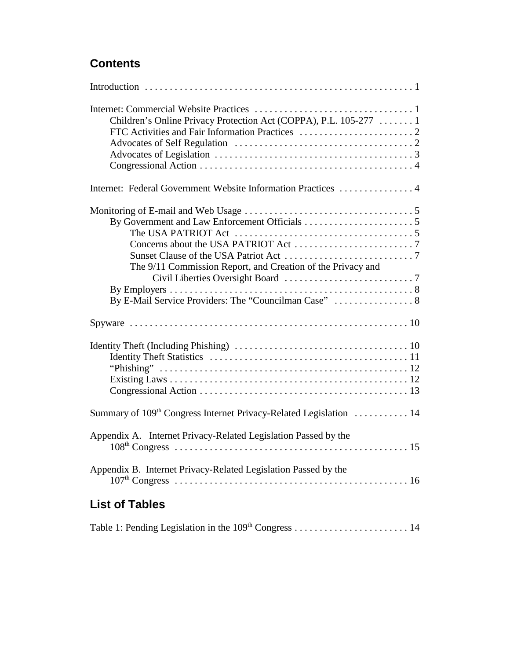# **Contents**

| Children's Online Privacy Protection Act (COPPA), P.L. 105-277  1              |
|--------------------------------------------------------------------------------|
| Internet: Federal Government Website Information Practices  4                  |
| The 9/11 Commission Report, and Creation of the Privacy and                    |
|                                                                                |
|                                                                                |
| Summary of 109 <sup>th</sup> Congress Internet Privacy-Related Legislation  14 |
| Appendix A. Internet Privacy-Related Legislation Passed by the                 |
| Appendix B. Internet Privacy-Related Legislation Passed by the                 |
| <b>List of Tables</b>                                                          |

Table 1: Pending Legislation in the 109th Congress . . . . . . . . . . . . . . . . . . . . . . . 14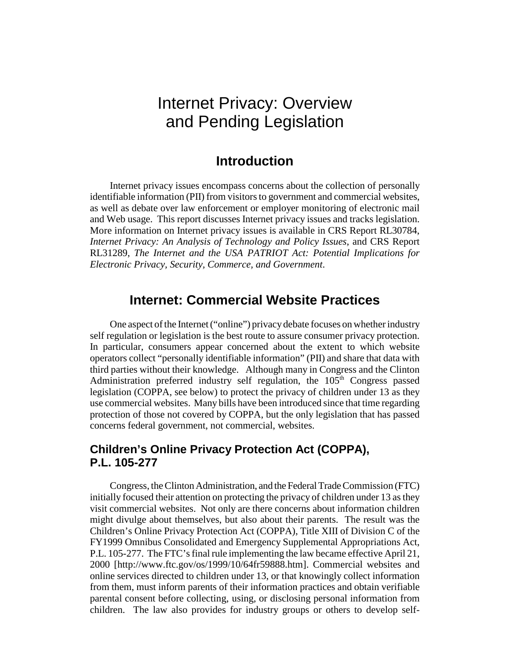# Internet Privacy: Overview and Pending Legislation

## **Introduction**

Internet privacy issues encompass concerns about the collection of personally identifiable information (PII) from visitors to government and commercial websites, as well as debate over law enforcement or employer monitoring of electronic mail and Web usage. This report discusses Internet privacy issues and tracks legislation. More information on Internet privacy issues is available in CRS Report RL30784, *Internet Privacy: An Analysis of Technology and Policy Issues*, and CRS Report RL31289, *The Internet and the USA PATRIOT Act: Potential Implications for Electronic Privacy, Security, Commerce, and Government*.

### **Internet: Commercial Website Practices**

One aspect of the Internet ("online") privacy debate focuses on whether industry self regulation or legislation is the best route to assure consumer privacy protection. In particular, consumers appear concerned about the extent to which website operators collect "personally identifiable information" (PII) and share that data with third parties without their knowledge. Although many in Congress and the Clinton Administration preferred industry self regulation, the  $105<sup>th</sup>$  Congress passed legislation (COPPA, see below) to protect the privacy of children under 13 as they use commercial websites. Many bills have been introduced since that time regarding protection of those not covered by COPPA, but the only legislation that has passed concerns federal government, not commercial, websites.

#### **Children's Online Privacy Protection Act (COPPA), P.L. 105-277**

Congress, the Clinton Administration, and the Federal Trade Commission (FTC) initially focused their attention on protecting the privacy of children under 13 as they visit commercial websites. Not only are there concerns about information children might divulge about themselves, but also about their parents. The result was the Children's Online Privacy Protection Act (COPPA), Title XIII of Division C of the FY1999 Omnibus Consolidated and Emergency Supplemental Appropriations Act, P.L. 105-277. The FTC's final rule implementing the law became effective April 21, 2000 [http://www.ftc.gov/os/1999/10/64fr59888.htm]. Commercial websites and online services directed to children under 13, or that knowingly collect information from them, must inform parents of their information practices and obtain verifiable parental consent before collecting, using, or disclosing personal information from children. The law also provides for industry groups or others to develop self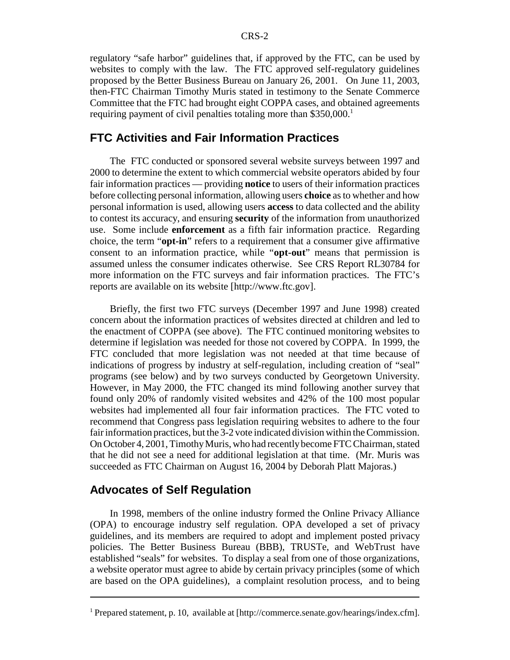regulatory "safe harbor" guidelines that, if approved by the FTC, can be used by websites to comply with the law. The FTC approved self-regulatory guidelines proposed by the Better Business Bureau on January 26, 2001. On June 11, 2003, then-FTC Chairman Timothy Muris stated in testimony to the Senate Commerce Committee that the FTC had brought eight COPPA cases, and obtained agreements requiring payment of civil penalties totaling more than \$350,000.<sup>1</sup>

#### **FTC Activities and Fair Information Practices**

The FTC conducted or sponsored several website surveys between 1997 and 2000 to determine the extent to which commercial website operators abided by four fair information practices — providing **notice** to users of their information practices before collecting personal information, allowing users **choice** as to whether and how personal information is used, allowing users **access** to data collected and the ability to contest its accuracy, and ensuring **security** of the information from unauthorized use. Some include **enforcement** as a fifth fair information practice. Regarding choice, the term "**opt-in**" refers to a requirement that a consumer give affirmative consent to an information practice, while "**opt-out**" means that permission is assumed unless the consumer indicates otherwise. See CRS Report RL30784 for more information on the FTC surveys and fair information practices. The FTC's reports are available on its website [http://www.ftc.gov].

Briefly, the first two FTC surveys (December 1997 and June 1998) created concern about the information practices of websites directed at children and led to the enactment of COPPA (see above). The FTC continued monitoring websites to determine if legislation was needed for those not covered by COPPA. In 1999, the FTC concluded that more legislation was not needed at that time because of indications of progress by industry at self-regulation, including creation of "seal" programs (see below) and by two surveys conducted by Georgetown University. However, in May 2000, the FTC changed its mind following another survey that found only 20% of randomly visited websites and 42% of the 100 most popular websites had implemented all four fair information practices. The FTC voted to recommend that Congress pass legislation requiring websites to adhere to the four fair information practices, but the 3-2 vote indicated division within the Commission. On October 4, 2001, Timothy Muris, who had recently become FTC Chairman, stated that he did not see a need for additional legislation at that time. (Mr. Muris was succeeded as FTC Chairman on August 16, 2004 by Deborah Platt Majoras.)

#### **Advocates of Self Regulation**

In 1998, members of the online industry formed the Online Privacy Alliance (OPA) to encourage industry self regulation. OPA developed a set of privacy guidelines, and its members are required to adopt and implement posted privacy policies. The Better Business Bureau (BBB), TRUSTe, and WebTrust have established "seals" for websites. To display a seal from one of those organizations, a website operator must agree to abide by certain privacy principles (some of which are based on the OPA guidelines), a complaint resolution process, and to being

<sup>&</sup>lt;sup>1</sup> Prepared statement, p. 10, available at [http://commerce.senate.gov/hearings/index.cfm].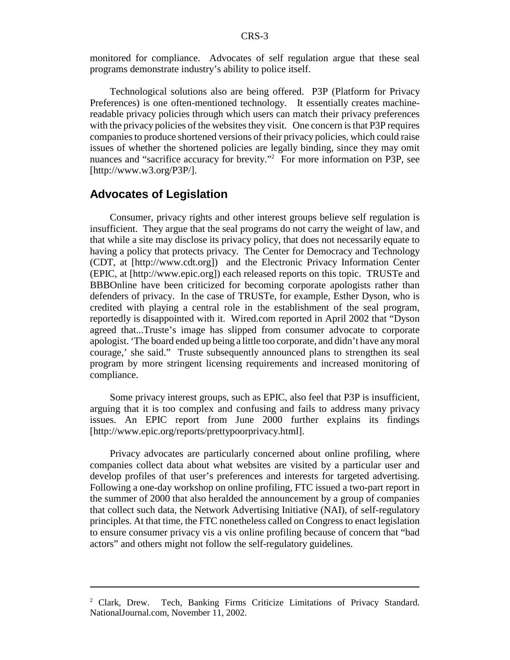monitored for compliance. Advocates of self regulation argue that these seal programs demonstrate industry's ability to police itself.

Technological solutions also are being offered. P3P (Platform for Privacy Preferences) is one often-mentioned technology. It essentially creates machinereadable privacy policies through which users can match their privacy preferences with the privacy policies of the websites they visit. One concern is that P3P requires companies to produce shortened versions of their privacy policies, which could raise issues of whether the shortened policies are legally binding, since they may omit nuances and "sacrifice accuracy for brevity."<sup>2</sup> For more information on P3P, see [http://www.w3.org/P3P/].

#### **Advocates of Legislation**

Consumer, privacy rights and other interest groups believe self regulation is insufficient. They argue that the seal programs do not carry the weight of law, and that while a site may disclose its privacy policy, that does not necessarily equate to having a policy that protects privacy. The Center for Democracy and Technology (CDT, at [http://www.cdt.org]) and the Electronic Privacy Information Center (EPIC, at [http://www.epic.org]) each released reports on this topic. TRUSTe and BBBOnline have been criticized for becoming corporate apologists rather than defenders of privacy. In the case of TRUSTe, for example, Esther Dyson, who is credited with playing a central role in the establishment of the seal program, reportedly is disappointed with it. Wired.com reported in April 2002 that "Dyson agreed that...Truste's image has slipped from consumer advocate to corporate apologist. 'The board ended up being a little too corporate, and didn't have any moral courage,' she said." Truste subsequently announced plans to strengthen its seal program by more stringent licensing requirements and increased monitoring of compliance.

Some privacy interest groups, such as EPIC, also feel that P3P is insufficient, arguing that it is too complex and confusing and fails to address many privacy issues. An EPIC report from June 2000 further explains its findings [http://www.epic.org/reports/prettypoorprivacy.html].

Privacy advocates are particularly concerned about online profiling, where companies collect data about what websites are visited by a particular user and develop profiles of that user's preferences and interests for targeted advertising. Following a one-day workshop on online profiling, FTC issued a two-part report in the summer of 2000 that also heralded the announcement by a group of companies that collect such data, the Network Advertising Initiative (NAI), of self-regulatory principles. At that time, the FTC nonetheless called on Congress to enact legislation to ensure consumer privacy vis a vis online profiling because of concern that "bad actors" and others might not follow the self-regulatory guidelines.

 $2$  Clark. Drew. Tech, Banking Firms Criticize Limitations of Privacy Standard. NationalJournal.com, November 11, 2002.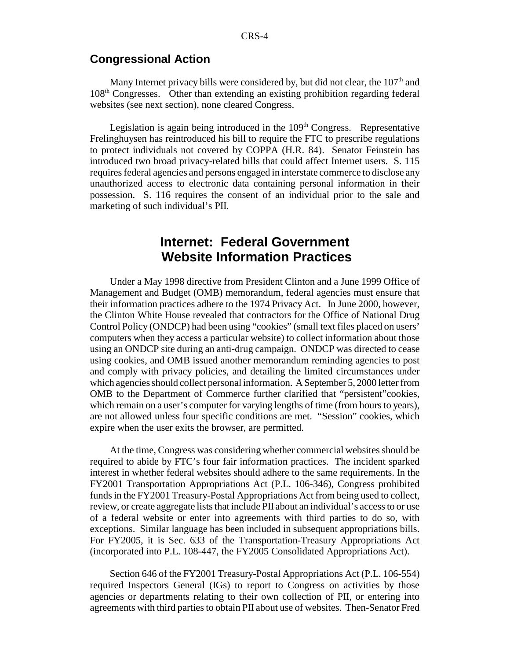#### **Congressional Action**

Many Internet privacy bills were considered by, but did not clear, the  $107<sup>th</sup>$  and 108th Congresses. Other than extending an existing prohibition regarding federal websites (see next section), none cleared Congress.

Legislation is again being introduced in the 109<sup>th</sup> Congress. Representative Frelinghuysen has reintroduced his bill to require the FTC to prescribe regulations to protect individuals not covered by COPPA (H.R. 84). Senator Feinstein has introduced two broad privacy-related bills that could affect Internet users. S. 115 requires federal agencies and persons engaged in interstate commerce to disclose any unauthorized access to electronic data containing personal information in their possession. S. 116 requires the consent of an individual prior to the sale and marketing of such individual's PII.

# **Internet: Federal Government Website Information Practices**

Under a May 1998 directive from President Clinton and a June 1999 Office of Management and Budget (OMB) memorandum, federal agencies must ensure that their information practices adhere to the 1974 Privacy Act. In June 2000, however, the Clinton White House revealed that contractors for the Office of National Drug Control Policy (ONDCP) had been using "cookies" (small text files placed on users' computers when they access a particular website) to collect information about those using an ONDCP site during an anti-drug campaign. ONDCP was directed to cease using cookies, and OMB issued another memorandum reminding agencies to post and comply with privacy policies, and detailing the limited circumstances under which agencies should collect personal information. A September 5, 2000 letter from OMB to the Department of Commerce further clarified that "persistent"cookies, which remain on a user's computer for varying lengths of time (from hours to years), are not allowed unless four specific conditions are met. "Session" cookies, which expire when the user exits the browser, are permitted.

At the time, Congress was considering whether commercial websites should be required to abide by FTC's four fair information practices. The incident sparked interest in whether federal websites should adhere to the same requirements. In the FY2001 Transportation Appropriations Act (P.L. 106-346), Congress prohibited funds in the FY2001 Treasury-Postal Appropriations Act from being used to collect, review, or create aggregate lists that include PII about an individual's access to or use of a federal website or enter into agreements with third parties to do so, with exceptions. Similar language has been included in subsequent appropriations bills. For FY2005, it is Sec. 633 of the Transportation-Treasury Appropriations Act (incorporated into P.L. 108-447, the FY2005 Consolidated Appropriations Act).

Section 646 of the FY2001 Treasury-Postal Appropriations Act (P.L. 106-554) required Inspectors General (IGs) to report to Congress on activities by those agencies or departments relating to their own collection of PII, or entering into agreements with third parties to obtain PII about use of websites. Then-Senator Fred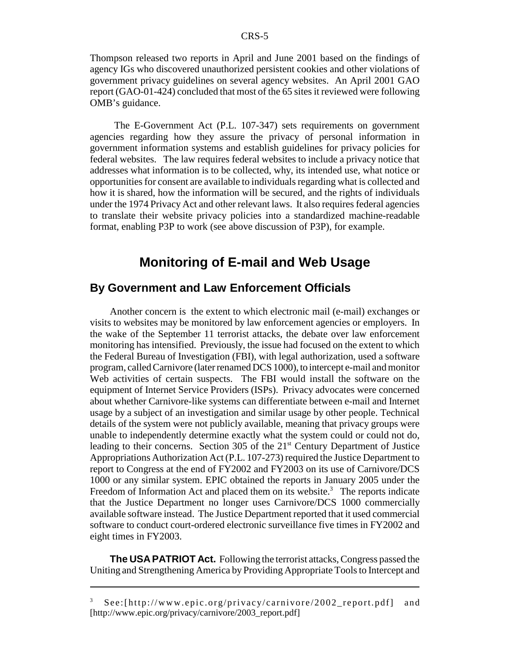Thompson released two reports in April and June 2001 based on the findings of agency IGs who discovered unauthorized persistent cookies and other violations of government privacy guidelines on several agency websites. An April 2001 GAO report (GAO-01-424) concluded that most of the 65 sites it reviewed were following OMB's guidance.

 The E-Government Act (P.L. 107-347) sets requirements on government agencies regarding how they assure the privacy of personal information in government information systems and establish guidelines for privacy policies for federal websites. The law requires federal websites to include a privacy notice that addresses what information is to be collected, why, its intended use, what notice or opportunities for consent are available to individuals regarding what is collected and how it is shared, how the information will be secured, and the rights of individuals under the 1974 Privacy Act and other relevant laws. It also requires federal agencies to translate their website privacy policies into a standardized machine-readable format, enabling P3P to work (see above discussion of P3P), for example.

# **Monitoring of E-mail and Web Usage**

#### **By Government and Law Enforcement Officials**

Another concern is the extent to which electronic mail (e-mail) exchanges or visits to websites may be monitored by law enforcement agencies or employers. In the wake of the September 11 terrorist attacks, the debate over law enforcement monitoring has intensified. Previously, the issue had focused on the extent to which the Federal Bureau of Investigation (FBI), with legal authorization, used a software program, called Carnivore (later renamed DCS 1000), to intercept e-mail and monitor Web activities of certain suspects. The FBI would install the software on the equipment of Internet Service Providers (ISPs). Privacy advocates were concerned about whether Carnivore-like systems can differentiate between e-mail and Internet usage by a subject of an investigation and similar usage by other people. Technical details of the system were not publicly available, meaning that privacy groups were unable to independently determine exactly what the system could or could not do, leading to their concerns. Section 305 of the  $21<sup>st</sup>$  Century Department of Justice Appropriations Authorization Act (P.L. 107-273) required the Justice Department to report to Congress at the end of FY2002 and FY2003 on its use of Carnivore/DCS 1000 or any similar system. EPIC obtained the reports in January 2005 under the Freedom of Information Act and placed them on its website.<sup>3</sup> The reports indicate that the Justice Department no longer uses Carnivore/DCS 1000 commercially available software instead. The Justice Department reported that it used commercial software to conduct court-ordered electronic surveillance five times in FY2002 and eight times in FY2003.

**The USA PATRIOT Act.** Following the terrorist attacks, Congress passed the Uniting and Strengthening America by Providing Appropriate Tools to Intercept and

 $3$  See:[http://www.epic.org/privacy/carnivore/2002 report.pdf] and [http://www.epic.org/privacy/carnivore/2003\_report.pdf]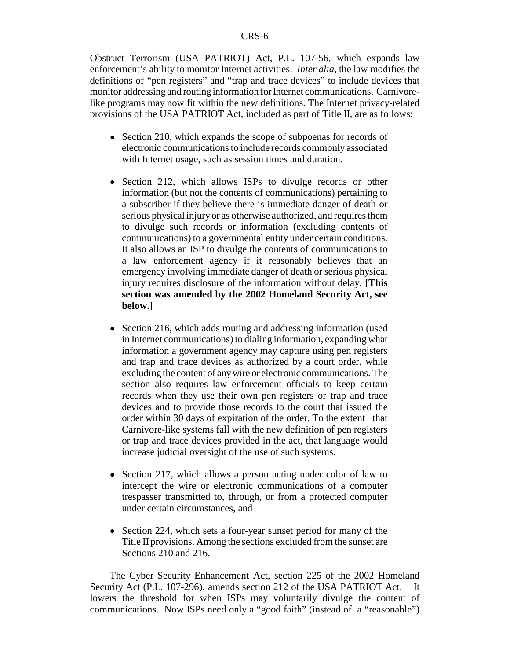Obstruct Terrorism (USA PATRIOT) Act, P.L. 107-56, which expands law enforcement's ability to monitor Internet activities. *Inter alia*, the law modifies the definitions of "pen registers" and "trap and trace devices" to include devices that monitor addressing and routing information for Internet communications. Carnivorelike programs may now fit within the new definitions. The Internet privacy-related provisions of the USA PATRIOT Act, included as part of Title II, are as follows:

- Section 210, which expands the scope of subpoenas for records of electronic communications to include records commonly associated with Internet usage, such as session times and duration.
- Section 212, which allows ISPs to divulge records or other information (but not the contents of communications) pertaining to a subscriber if they believe there is immediate danger of death or serious physical injury or as otherwise authorized, and requires them to divulge such records or information (excluding contents of communications) to a governmental entity under certain conditions. It also allows an ISP to divulge the contents of communications to a law enforcement agency if it reasonably believes that an emergency involving immediate danger of death or serious physical injury requires disclosure of the information without delay. **[This section was amended by the 2002 Homeland Security Act, see below.]**
- Section 216, which adds routing and addressing information (used in Internet communications) to dialing information, expanding what information a government agency may capture using pen registers and trap and trace devices as authorized by a court order, while excluding the content of any wire or electronic communications. The section also requires law enforcement officials to keep certain records when they use their own pen registers or trap and trace devices and to provide those records to the court that issued the order within 30 days of expiration of the order. To the extent that Carnivore-like systems fall with the new definition of pen registers or trap and trace devices provided in the act, that language would increase judicial oversight of the use of such systems.
- Section 217, which allows a person acting under color of law to intercept the wire or electronic communications of a computer trespasser transmitted to, through, or from a protected computer under certain circumstances, and
- Section 224, which sets a four-year sunset period for many of the Title II provisions. Among the sections excluded from the sunset are Sections 210 and 216.

The Cyber Security Enhancement Act, section 225 of the 2002 Homeland Security Act (P.L. 107-296), amends section 212 of the USA PATRIOT Act. It lowers the threshold for when ISPs may voluntarily divulge the content of communications. Now ISPs need only a "good faith" (instead of a "reasonable")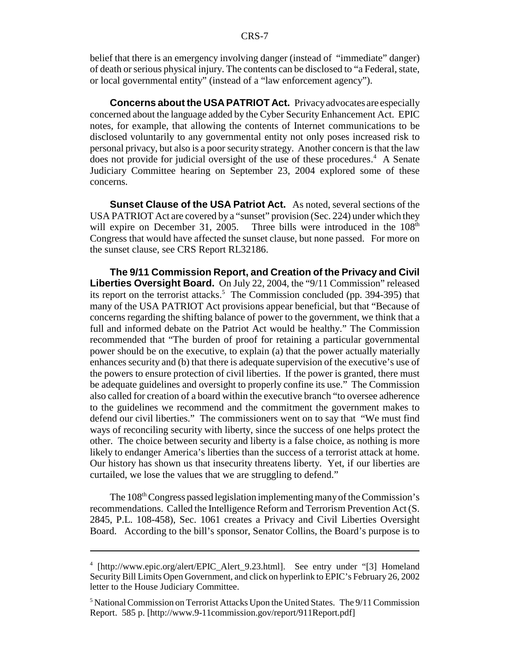belief that there is an emergency involving danger (instead of "immediate" danger) of death or serious physical injury. The contents can be disclosed to "a Federal, state, or local governmental entity" (instead of a "law enforcement agency").

**Concerns about the USA PATRIOT Act.** Privacy advocates are especially concerned about the language added by the Cyber Security Enhancement Act. EPIC notes, for example, that allowing the contents of Internet communications to be disclosed voluntarily to any governmental entity not only poses increased risk to personal privacy, but also is a poor security strategy. Another concern is that the law does not provide for judicial oversight of the use of these procedures.<sup>4</sup> A Senate Judiciary Committee hearing on September 23, 2004 explored some of these concerns.

**Sunset Clause of the USA Patriot Act.** As noted, several sections of the USA PATRIOT Act are covered by a "sunset" provision (Sec. 224) under which they will expire on December 31, 2005. Three bills were introduced in the  $108<sup>th</sup>$ Congress that would have affected the sunset clause, but none passed. For more on the sunset clause, see CRS Report RL32186.

**The 9/11 Commission Report, and Creation of the Privacy and Civil Liberties Oversight Board.** On July 22, 2004, the "9/11 Commission" released its report on the terrorist attacks.<sup>5</sup> The Commission concluded (pp. 394-395) that many of the USA PATRIOT Act provisions appear beneficial, but that "Because of concerns regarding the shifting balance of power to the government, we think that a full and informed debate on the Patriot Act would be healthy." The Commission recommended that "The burden of proof for retaining a particular governmental power should be on the executive, to explain (a) that the power actually materially enhances security and (b) that there is adequate supervision of the executive's use of the powers to ensure protection of civil liberties. If the power is granted, there must be adequate guidelines and oversight to properly confine its use." The Commission also called for creation of a board within the executive branch "to oversee adherence to the guidelines we recommend and the commitment the government makes to defend our civil liberties." The commissioners went on to say that "We must find ways of reconciling security with liberty, since the success of one helps protect the other. The choice between security and liberty is a false choice, as nothing is more likely to endanger America's liberties than the success of a terrorist attack at home. Our history has shown us that insecurity threatens liberty. Yet, if our liberties are curtailed, we lose the values that we are struggling to defend."

The 108<sup>th</sup> Congress passed legislation implementing many of the Commission's recommendations. Called the Intelligence Reform and Terrorism Prevention Act (S. 2845, P.L. 108-458), Sec. 1061 creates a Privacy and Civil Liberties Oversight Board. According to the bill's sponsor, Senator Collins, the Board's purpose is to

<sup>4</sup> [http://www.epic.org/alert/EPIC\_Alert\_9.23.html]. See entry under "[3] Homeland Security Bill Limits Open Government, and click on hyperlink to EPIC's February 26, 2002 letter to the House Judiciary Committee.

<sup>&</sup>lt;sup>5</sup> National Commission on Terrorist Attacks Upon the United States. The 9/11 Commission Report. 585 p. [http://www.9-11commission.gov/report/911Report.pdf]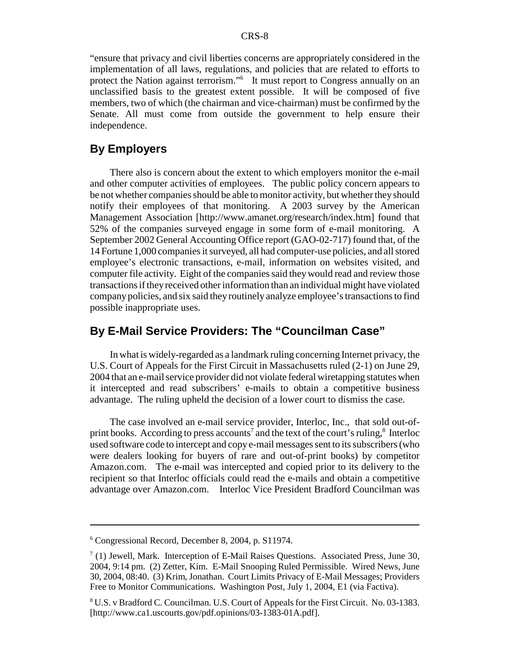"ensure that privacy and civil liberties concerns are appropriately considered in the implementation of all laws, regulations, and policies that are related to efforts to protect the Nation against terrorism."<sup>6</sup> It must report to Congress annually on an unclassified basis to the greatest extent possible. It will be composed of five members, two of which (the chairman and vice-chairman) must be confirmed by the Senate. All must come from outside the government to help ensure their independence.

#### **By Employers**

There also is concern about the extent to which employers monitor the e-mail and other computer activities of employees. The public policy concern appears to be not whether companies should be able to monitor activity, but whether they should notify their employees of that monitoring. A 2003 survey by the American Management Association [http://www.amanet.org/research/index.htm] found that 52% of the companies surveyed engage in some form of e-mail monitoring. A September 2002 General Accounting Office report (GAO-02-717) found that, of the 14 Fortune 1,000 companies it surveyed, all had computer-use policies, and all stored employee's electronic transactions, e-mail, information on websites visited, and computer file activity. Eight of the companies said they would read and review those transactions if they received other information than an individual might have violated company policies, and six said they routinely analyze employee's transactions to find possible inappropriate uses.

### **By E-Mail Service Providers: The "Councilman Case"**

In what is widely-regarded as a landmark ruling concerning Internet privacy, the U.S. Court of Appeals for the First Circuit in Massachusetts ruled (2-1) on June 29, 2004 that an e-mail service provider did not violate federal wiretapping statutes when it intercepted and read subscribers' e-mails to obtain a competitive business advantage. The ruling upheld the decision of a lower court to dismiss the case.

The case involved an e-mail service provider, Interloc, Inc., that sold out-ofprint books. According to press accounts<sup>7</sup> and the text of the court's ruling, $^8$  Interloc used software code to intercept and copy e-mail messages sent to its subscribers (who were dealers looking for buyers of rare and out-of-print books) by competitor Amazon.com. The e-mail was intercepted and copied prior to its delivery to the recipient so that Interloc officials could read the e-mails and obtain a competitive advantage over Amazon.com. Interloc Vice President Bradford Councilman was

<sup>6</sup> Congressional Record, December 8, 2004, p. S11974.

 $7(1)$  Jewell, Mark. Interception of E-Mail Raises Questions. Associated Press, June 30, 2004, 9:14 pm. (2) Zetter, Kim. E-Mail Snooping Ruled Permissible. Wired News, June 30, 2004, 08:40. (3) Krim, Jonathan. Court Limits Privacy of E-Mail Messages; Providers Free to Monitor Communications. Washington Post, July 1, 2004, E1 (via Factiva).

<sup>&</sup>lt;sup>8</sup> U.S. v Bradford C. Councilman. U.S. Court of Appeals for the First Circuit. No. 03-1383. [http://www.ca1.uscourts.gov/pdf.opinions/03-1383-01A.pdf].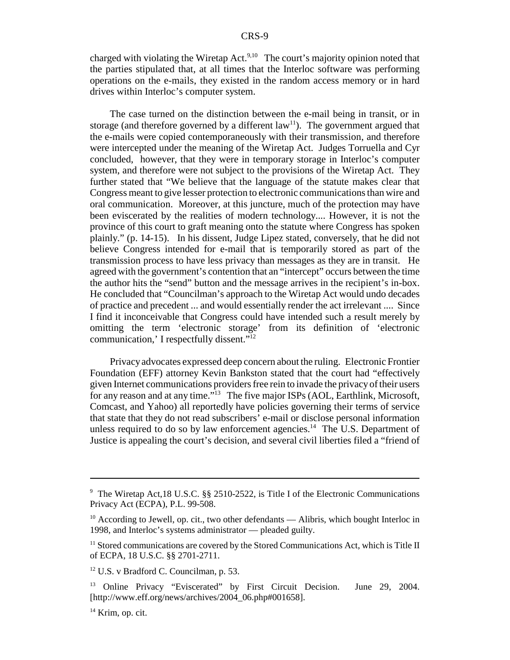charged with violating the Wiretap Act.<sup>9,10</sup> The court's majority opinion noted that the parties stipulated that, at all times that the Interloc software was performing operations on the e-mails, they existed in the random access memory or in hard drives within Interloc's computer system.

The case turned on the distinction between the e-mail being in transit, or in storage (and therefore governed by a different  $law<sup>11</sup>$ ). The government argued that the e-mails were copied contemporaneously with their transmission, and therefore were intercepted under the meaning of the Wiretap Act. Judges Torruella and Cyr concluded, however, that they were in temporary storage in Interloc's computer system, and therefore were not subject to the provisions of the Wiretap Act. They further stated that "We believe that the language of the statute makes clear that Congress meant to give lesser protection to electronic communications than wire and oral communication. Moreover, at this juncture, much of the protection may have been eviscerated by the realities of modern technology.... However, it is not the province of this court to graft meaning onto the statute where Congress has spoken plainly." (p. 14-15). In his dissent, Judge Lipez stated, conversely, that he did not believe Congress intended for e-mail that is temporarily stored as part of the transmission process to have less privacy than messages as they are in transit. He agreed with the government's contention that an "intercept" occurs between the time the author hits the "send" button and the message arrives in the recipient's in-box. He concluded that "Councilman's approach to the Wiretap Act would undo decades of practice and precedent ... and would essentially render the act irrelevant .... Since I find it inconceivable that Congress could have intended such a result merely by omitting the term 'electronic storage' from its definition of 'electronic communication,' I respectfully dissent."12

Privacy advocates expressed deep concern about the ruling. Electronic Frontier Foundation (EFF) attorney Kevin Bankston stated that the court had "effectively given Internet communications providers free rein to invade the privacy of their users for any reason and at any time."<sup>13</sup> The five major ISPs (AOL, Earthlink, Microsoft, Comcast, and Yahoo) all reportedly have policies governing their terms of service that state that they do not read subscribers' e-mail or disclose personal information unless required to do so by law enforcement agencies.<sup>14</sup> The U.S. Department of Justice is appealing the court's decision, and several civil liberties filed a "friend of

<sup>&</sup>lt;sup>9</sup> The Wiretap Act, 18 U.S.C. §§ 2510-2522, is Title I of the Electronic Communications Privacy Act (ECPA), P.L. 99-508.

 $10$  According to Jewell, op. cit., two other defendants — Alibris, which bought Interloc in 1998, and Interloc's systems administrator — pleaded guilty.

<sup>&</sup>lt;sup>11</sup> Stored communications are covered by the Stored Communications Act, which is Title II of ECPA, 18 U.S.C. §§ 2701-2711.

<sup>&</sup>lt;sup>12</sup> U.S. v Bradford C. Councilman, p. 53.

<sup>&</sup>lt;sup>13</sup> Online Privacy "Eviscerated" by First Circuit Decision. June 29, 2004. [http://www.eff.org/news/archives/2004\_06.php#001658].

 $14$  Krim, op. cit.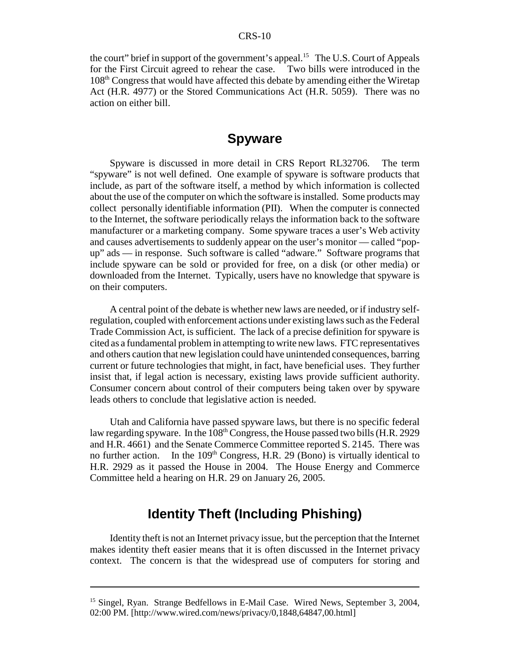#### CRS-10

the court" brief in support of the government's appeal.<sup>15</sup> The U.S. Court of Appeals for the First Circuit agreed to rehear the case. Two bills were introduced in the 108th Congress that would have affected this debate by amending either the Wiretap Act (H.R. 4977) or the Stored Communications Act (H.R. 5059). There was no action on either bill.

### **Spyware**

Spyware is discussed in more detail in CRS Report RL32706. The term "spyware" is not well defined. One example of spyware is software products that include, as part of the software itself, a method by which information is collected about the use of the computer on which the software is installed. Some products may collect personally identifiable information (PII). When the computer is connected to the Internet, the software periodically relays the information back to the software manufacturer or a marketing company. Some spyware traces a user's Web activity and causes advertisements to suddenly appear on the user's monitor — called "popup" ads — in response. Such software is called "adware." Software programs that include spyware can be sold or provided for free, on a disk (or other media) or downloaded from the Internet. Typically, users have no knowledge that spyware is on their computers.

A central point of the debate is whether new laws are needed, or if industry selfregulation, coupled with enforcement actions under existing laws such as the Federal Trade Commission Act, is sufficient. The lack of a precise definition for spyware is cited as a fundamental problem in attempting to write new laws. FTC representatives and others caution that new legislation could have unintended consequences, barring current or future technologies that might, in fact, have beneficial uses. They further insist that, if legal action is necessary, existing laws provide sufficient authority. Consumer concern about control of their computers being taken over by spyware leads others to conclude that legislative action is needed.

Utah and California have passed spyware laws, but there is no specific federal law regarding spyware. In the  $108<sup>th</sup>$  Congress, the House passed two bills (H.R. 2929) and H.R. 4661) and the Senate Commerce Committee reported S. 2145. There was no further action. In the  $109<sup>th</sup> Congress, H.R. 29 (Bono)$  is virtually identical to H.R. 2929 as it passed the House in 2004. The House Energy and Commerce Committee held a hearing on H.R. 29 on January 26, 2005.

# **Identity Theft (Including Phishing)**

Identity theft is not an Internet privacy issue, but the perception that the Internet makes identity theft easier means that it is often discussed in the Internet privacy context. The concern is that the widespread use of computers for storing and

<sup>&</sup>lt;sup>15</sup> Singel, Ryan. Strange Bedfellows in E-Mail Case. Wired News, September 3, 2004, 02:00 PM. [http://www.wired.com/news/privacy/0,1848,64847,00.html]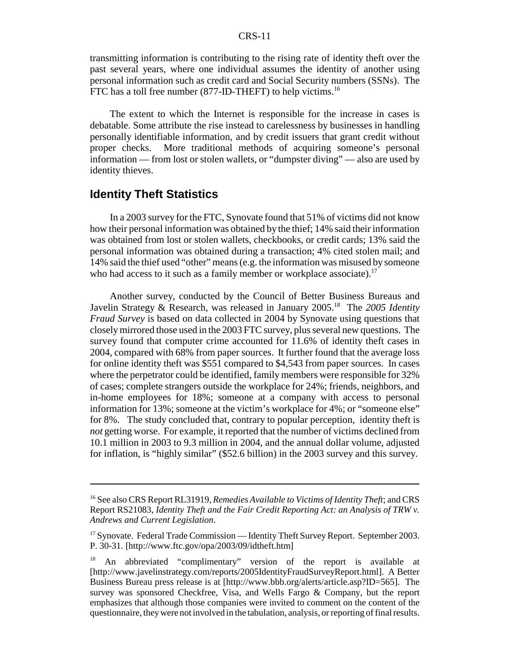transmitting information is contributing to the rising rate of identity theft over the past several years, where one individual assumes the identity of another using personal information such as credit card and Social Security numbers (SSNs). The FTC has a toll free number (877-ID-THEFT) to help victims.<sup>16</sup>

The extent to which the Internet is responsible for the increase in cases is debatable. Some attribute the rise instead to carelessness by businesses in handling personally identifiable information, and by credit issuers that grant credit without proper checks. More traditional methods of acquiring someone's personal information — from lost or stolen wallets, or "dumpster diving" — also are used by identity thieves.

#### **Identity Theft Statistics**

In a 2003 survey for the FTC, Synovate found that 51% of victims did not know how their personal information was obtained by the thief; 14% said their information was obtained from lost or stolen wallets, checkbooks, or credit cards; 13% said the personal information was obtained during a transaction; 4% cited stolen mail; and 14% said the thief used "other" means (e.g. the information was misused by someone who had access to it such as a family member or workplace associate).<sup>17</sup>

Another survey, conducted by the Council of Better Business Bureaus and Javelin Strategy & Research, was released in January 2005.18 The *2005 Identity Fraud Survey* is based on data collected in 2004 by Synovate using questions that closely mirrored those used in the 2003 FTC survey, plus several new questions. The survey found that computer crime accounted for 11.6% of identity theft cases in 2004, compared with 68% from paper sources. It further found that the average loss for online identity theft was \$551 compared to \$4,543 from paper sources. In cases where the perpetrator could be identified, family members were responsible for 32% of cases; complete strangers outside the workplace for 24%; friends, neighbors, and in-home employees for 18%; someone at a company with access to personal information for 13%; someone at the victim's workplace for 4%; or "someone else" for 8%. The study concluded that, contrary to popular perception, identity theft is *not* getting worse. For example, it reported that the number of victims declined from 10.1 million in 2003 to 9.3 million in 2004, and the annual dollar volume, adjusted for inflation, is "highly similar" (\$52.6 billion) in the 2003 survey and this survey.

<sup>16</sup> See also CRS Report RL31919, *Remedies Available to Victims of Identity Theft*; and CRS Report RS21083, *Identity Theft and the Fair Credit Reporting Act: an Analysis of TRW v. Andrews and Current Legislation*.

<sup>&</sup>lt;sup>17</sup> Synovate. Federal Trade Commission — Identity Theft Survey Report. September 2003. P. 30-31. [http://www.ftc.gov/opa/2003/09/idtheft.htm]

<sup>&</sup>lt;sup>18</sup> An abbreviated "complimentary" version of the report is available at [http://www.javelinstrategy.com/reports/2005IdentityFraudSurveyReport.html]. A Better Business Bureau press release is at [http://www.bbb.org/alerts/article.asp?ID=565]. The survey was sponsored Checkfree, Visa, and Wells Fargo & Company, but the report emphasizes that although those companies were invited to comment on the content of the questionnaire, they were not involved in the tabulation, analysis, or reporting of final results.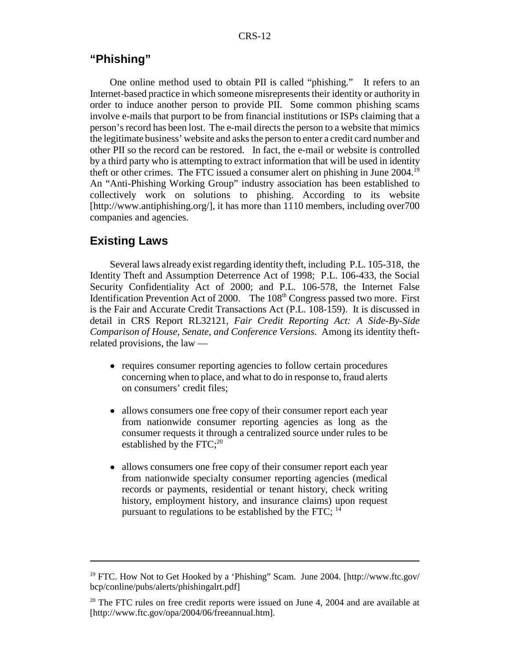#### **"Phishing"**

One online method used to obtain PII is called "phishing." It refers to an Internet-based practice in which someone misrepresents their identity or authority in order to induce another person to provide PII. Some common phishing scams involve e-mails that purport to be from financial institutions or ISPs claiming that a person's record has been lost. The e-mail directs the person to a website that mimics the legitimate business' website and asks the person to enter a credit card number and other PII so the record can be restored. In fact, the e-mail or website is controlled by a third party who is attempting to extract information that will be used in identity theft or other crimes. The FTC issued a consumer alert on phishing in June 2004.19 An "Anti-Phishing Working Group" industry association has been established to collectively work on solutions to phishing. According to its website [http://www.antiphishing.org/], it has more than 1110 members, including over700 companies and agencies.

#### **Existing Laws**

Several laws already exist regarding identity theft, including P.L. 105-318, the Identity Theft and Assumption Deterrence Act of 1998; P.L. 106-433, the Social Security Confidentiality Act of 2000; and P.L. 106-578, the Internet False Identification Prevention Act of 2000. The 108<sup>th</sup> Congress passed two more. First is the Fair and Accurate Credit Transactions Act (P.L. 108-159). It is discussed in detail in CRS Report RL32121, *Fair Credit Reporting Act: A Side-By-Side Comparison of House, Senate, and Conference Versions*. Among its identity theftrelated provisions, the law —

- requires consumer reporting agencies to follow certain procedures concerning when to place, and what to do in response to, fraud alerts on consumers' credit files;
- allows consumers one free copy of their consumer report each year from nationwide consumer reporting agencies as long as the consumer requests it through a centralized source under rules to be established by the  $FTC;^{20}$
- allows consumers one free copy of their consumer report each year from nationwide specialty consumer reporting agencies (medical records or payments, residential or tenant history, check writing history, employment history, and insurance claims) upon request pursuant to regulations to be established by the FTC;  $^{14}$

<sup>&</sup>lt;sup>19</sup> FTC. How Not to Get Hooked by a 'Phishing'' Scam. June 2004. [http://www.ftc.gov/ bcp/conline/pubs/alerts/phishingalrt.pdf]

 $20$  The FTC rules on free credit reports were issued on June 4, 2004 and are available at [http://www.ftc.gov/opa/2004/06/freeannual.htm].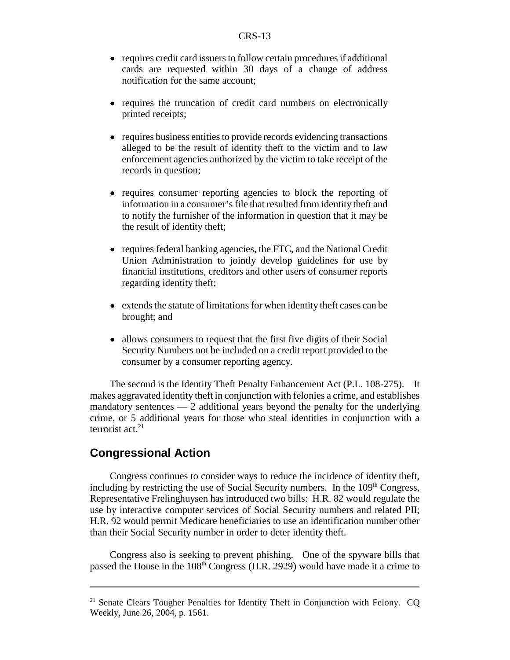- requires credit card issuers to follow certain procedures if additional cards are requested within 30 days of a change of address notification for the same account;
- requires the truncation of credit card numbers on electronically printed receipts;
- ! requires business entities to provide records evidencing transactions alleged to be the result of identity theft to the victim and to law enforcement agencies authorized by the victim to take receipt of the records in question;
- requires consumer reporting agencies to block the reporting of information in a consumer's file that resulted from identity theft and to notify the furnisher of the information in question that it may be the result of identity theft;
- ! requires federal banking agencies, the FTC, and the National Credit Union Administration to jointly develop guidelines for use by financial institutions, creditors and other users of consumer reports regarding identity theft;
- extends the statute of limitations for when identity theft cases can be brought; and
- allows consumers to request that the first five digits of their Social Security Numbers not be included on a credit report provided to the consumer by a consumer reporting agency.

The second is the Identity Theft Penalty Enhancement Act (P.L. 108-275). It makes aggravated identity theft in conjunction with felonies a crime, and establishes mandatory sentences  $-2$  additional years beyond the penalty for the underlying crime, or 5 additional years for those who steal identities in conjunction with a terrorist act. $21$ 

#### **Congressional Action**

Congress continues to consider ways to reduce the incidence of identity theft, including by restricting the use of Social Security numbers. In the  $109<sup>th</sup>$  Congress, Representative Frelinghuysen has introduced two bills: H.R. 82 would regulate the use by interactive computer services of Social Security numbers and related PII; H.R. 92 would permit Medicare beneficiaries to use an identification number other than their Social Security number in order to deter identity theft.

Congress also is seeking to prevent phishing. One of the spyware bills that passed the House in the  $108<sup>th</sup>$  Congress (H.R. 2929) would have made it a crime to

<sup>&</sup>lt;sup>21</sup> Senate Clears Tougher Penalties for Identity Theft in Conjunction with Felony. CQ Weekly, June 26, 2004, p. 1561.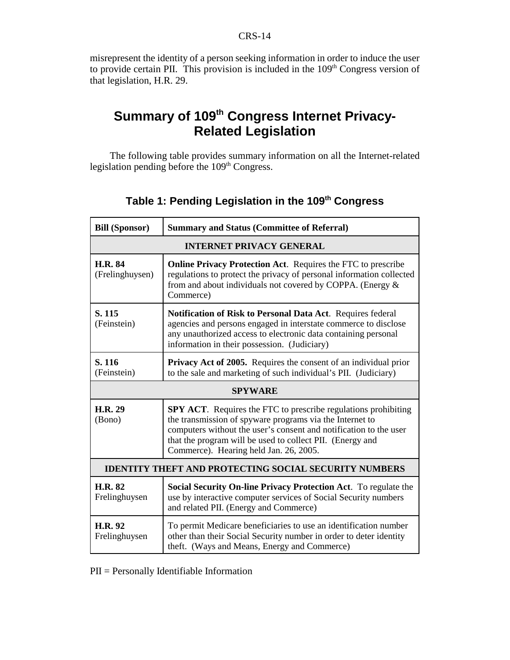misrepresent the identity of a person seeking information in order to induce the user to provide certain PII. This provision is included in the  $109<sup>th</sup>$  Congress version of that legislation, H.R. 29.

# **Summary of 109<sup>th</sup> Congress Internet Privacy-Related Legislation**

The following table provides summary information on all the Internet-related legislation pending before the 109<sup>th</sup> Congress.

| <b>Bill (Sponsor)</b>                                        | <b>Summary and Status (Committee of Referral)</b>                                                                                                                                                                                                                                                             |  |
|--------------------------------------------------------------|---------------------------------------------------------------------------------------------------------------------------------------------------------------------------------------------------------------------------------------------------------------------------------------------------------------|--|
| <b>INTERNET PRIVACY GENERAL</b>                              |                                                                                                                                                                                                                                                                                                               |  |
| <b>H.R. 84</b><br>(Frelinghuysen)                            | <b>Online Privacy Protection Act.</b> Requires the FTC to prescribe<br>regulations to protect the privacy of personal information collected<br>from and about individuals not covered by COPPA. (Energy &<br>Commerce)                                                                                        |  |
| S. 115<br>(Feinstein)                                        | Notification of Risk to Personal Data Act. Requires federal<br>agencies and persons engaged in interstate commerce to disclose<br>any unauthorized access to electronic data containing personal<br>information in their possession. (Judiciary)                                                              |  |
| S. 116<br>(Feinstein)                                        | <b>Privacy Act of 2005.</b> Requires the consent of an individual prior<br>to the sale and marketing of such individual's PII. (Judiciary)                                                                                                                                                                    |  |
| <b>SPYWARE</b>                                               |                                                                                                                                                                                                                                                                                                               |  |
| <b>H.R. 29</b><br>(Bono)                                     | <b>SPY ACT.</b> Requires the FTC to prescribe regulations prohibiting<br>the transmission of spyware programs via the Internet to<br>computers without the user's consent and notification to the user<br>that the program will be used to collect PII. (Energy and<br>Commerce). Hearing held Jan. 26, 2005. |  |
| <b>IDENTITY THEFT AND PROTECTING SOCIAL SECURITY NUMBERS</b> |                                                                                                                                                                                                                                                                                                               |  |
| <b>H.R. 82</b><br>Frelinghuysen                              | Social Security On-line Privacy Protection Act. To regulate the<br>use by interactive computer services of Social Security numbers<br>and related PII. (Energy and Commerce)                                                                                                                                  |  |
| <b>H.R. 92</b><br>Frelinghuysen                              | To permit Medicare beneficiaries to use an identification number<br>other than their Social Security number in order to deter identity<br>theft. (Ways and Means, Energy and Commerce)                                                                                                                        |  |

# **Table 1: Pending Legislation in the 109th Congress**

PII = Personally Identifiable Information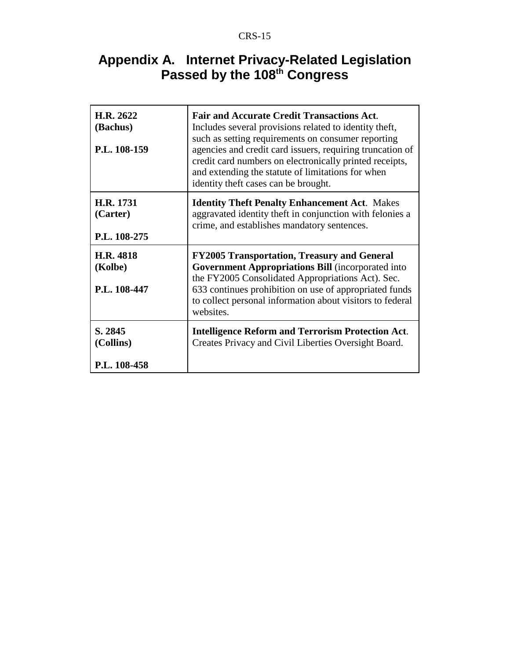### CRS-15

# **Appendix A. Internet Privacy-Related Legislation Passed by the 108th Congress**

| H.R. 2622<br>(Bachus)<br>P.L. 108-159 | <b>Fair and Accurate Credit Transactions Act.</b><br>Includes several provisions related to identity theft,<br>such as setting requirements on consumer reporting<br>agencies and credit card issuers, requiring truncation of<br>credit card numbers on electronically printed receipts,<br>and extending the statute of limitations for when<br>identity theft cases can be brought. |
|---------------------------------------|----------------------------------------------------------------------------------------------------------------------------------------------------------------------------------------------------------------------------------------------------------------------------------------------------------------------------------------------------------------------------------------|
| H.R. 1731<br>(Carter)<br>P.L. 108-275 | <b>Identity Theft Penalty Enhancement Act. Makes</b><br>aggravated identity theft in conjunction with felonies a<br>crime, and establishes mandatory sentences.                                                                                                                                                                                                                        |
| H.R. 4818<br>(Kolbe)<br>P.L. 108-447  | <b>FY2005 Transportation, Treasury and General</b><br><b>Government Appropriations Bill (incorporated into</b><br>the FY2005 Consolidated Appropriations Act). Sec.<br>633 continues prohibition on use of appropriated funds<br>to collect personal information about visitors to federal<br>websites.                                                                                |
| S. 2845<br>(Collins)<br>P.L. 108-458  | <b>Intelligence Reform and Terrorism Protection Act.</b><br>Creates Privacy and Civil Liberties Oversight Board.                                                                                                                                                                                                                                                                       |